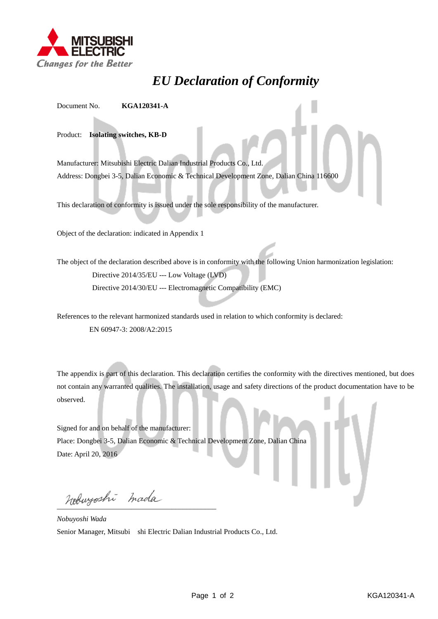

## *EU Declaration of Conformity*

Document No. **KGA120341-A**

Product: **Isolating switches, KB-D**

Manufacturer: Mitsubishi Electric Dalian Industrial Products Co., Ltd. Address: Dongbei 3-5, Dalian Economic & Technical Development Zone, Dalian China 116600

This declaration of conformity is issued under the sole responsibility of the manufacturer.

Object of the declaration: indicated in Appendix 1

The object of the declaration described above is in conformity with the following Union harmonization legislation: Directive 2014/35/EU --- Low Voltage (LVD) Directive 2014/30/EU --- Electromagnetic Compatibility (EMC)

References to the relevant harmonized standards used in relation to which conformity is declared: EN 60947-3: 2008/A2:2015

The appendix is part of this declaration. This declaration certifies the conformity with the directives mentioned, but does not contain any warranted qualities. The installation, usage and safety directions of the product documentation have to be observed.

Signed for and on behalf of the manufacturer: Place: Dongbei 3-5, Dalian Economic & Technical Development Zone, Dalian China Date: April 20, 2016

Nobuyoshi mada

*Nobuyoshi Wada* Senior Manager, Mitsubi shi Electric Dalian Industrial Products Co., Ltd.